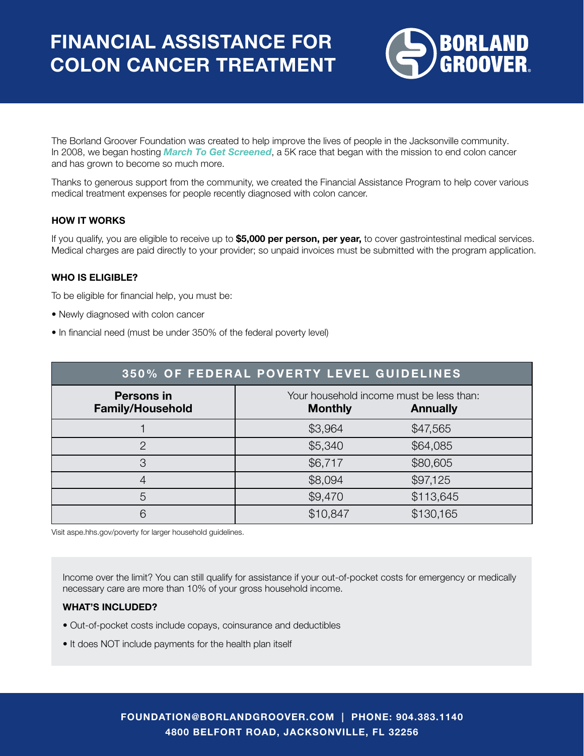

The Borland Groover Foundation was created to help improve the lives of people in the Jacksonville community. In 2008, we began hosting *March To Get Screened*, a 5K race that began with the mission to end colon cancer and has grown to become so much more.

Thanks to generous support from the community, we created the Financial Assistance Program to help cover various medical treatment expenses for people recently diagnosed with colon cancer.

## HOW IT WORKS

If you qualify, you are eligible to receive up to \$5,000 per person, per year, to cover gastrointestinal medical services. Medical charges are paid directly to your provider; so unpaid invoices must be submitted with the program application.

## WHO IS ELIGIBLE?

To be eligible for financial help, you must be:

- Newly diagnosed with colon cancer
- In financial need (must be under 350% of the federal poverty level)

| <b>350% OF FEDERAL POVERTY LEVEL GUIDELINES</b> |                                                            |                 |
|-------------------------------------------------|------------------------------------------------------------|-----------------|
| <b>Persons in</b><br><b>Family/Household</b>    | Your household income must be less than:<br><b>Monthly</b> | <b>Annually</b> |
|                                                 | \$3,964                                                    | \$47,565        |
| っ                                               | \$5,340                                                    | \$64,085        |
| 3                                               | \$6,717                                                    | \$80,605        |
| 4                                               | \$8,094                                                    | \$97,125        |
| 5                                               | \$9,470                                                    | \$113,645       |
| 6                                               | \$10,847                                                   | \$130,165       |

Visit aspe.hhs.gov/poverty for larger household guidelines.

Income over the limit? You can still qualify for assistance if your out-of-pocket costs for emergency or medically necessary care are more than 10% of your gross household income.

## WHAT'S INCLUDED?

- Out-of-pocket costs include copays, coinsurance and deductibles
- It does NOT include payments for the health plan itself

FOUNDATION@BORLANDGROOVER.COM | PHONE: 904.383.1140 4800 BELFORT ROAD, JACKSONVILLE, FL 32256